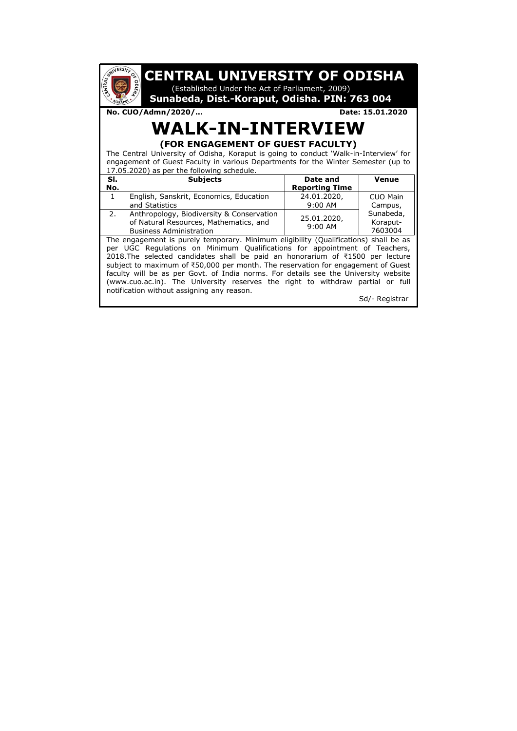| <b>UNIVERSITY</b><br><b>CENTRAL UNIVERSITY OF ODISHA</b><br>$\mathcal{O}(\mathcal{A})$<br>ENTRAL<br>(Established Under the Act of Parliament, 2009)<br>Sunabeda, Dist.-Koraput, Odisha. PIN: 763 004                                                                                                                                                                                                                                                                                                                                                                              |                                                                                                                                                                                                                                                                           |                                                                                                                                                                                                                                                                                                                           |  |  |  |
|-----------------------------------------------------------------------------------------------------------------------------------------------------------------------------------------------------------------------------------------------------------------------------------------------------------------------------------------------------------------------------------------------------------------------------------------------------------------------------------------------------------------------------------------------------------------------------------|---------------------------------------------------------------------------------------------------------------------------------------------------------------------------------------------------------------------------------------------------------------------------|---------------------------------------------------------------------------------------------------------------------------------------------------------------------------------------------------------------------------------------------------------------------------------------------------------------------------|--|--|--|
|                                                                                                                                                                                                                                                                                                                                                                                                                                                                                                                                                                                   |                                                                                                                                                                                                                                                                           | Date: 15.01.2020                                                                                                                                                                                                                                                                                                          |  |  |  |
|                                                                                                                                                                                                                                                                                                                                                                                                                                                                                                                                                                                   |                                                                                                                                                                                                                                                                           |                                                                                                                                                                                                                                                                                                                           |  |  |  |
|                                                                                                                                                                                                                                                                                                                                                                                                                                                                                                                                                                                   |                                                                                                                                                                                                                                                                           |                                                                                                                                                                                                                                                                                                                           |  |  |  |
|                                                                                                                                                                                                                                                                                                                                                                                                                                                                                                                                                                                   |                                                                                                                                                                                                                                                                           |                                                                                                                                                                                                                                                                                                                           |  |  |  |
|                                                                                                                                                                                                                                                                                                                                                                                                                                                                                                                                                                                   |                                                                                                                                                                                                                                                                           |                                                                                                                                                                                                                                                                                                                           |  |  |  |
|                                                                                                                                                                                                                                                                                                                                                                                                                                                                                                                                                                                   |                                                                                                                                                                                                                                                                           |                                                                                                                                                                                                                                                                                                                           |  |  |  |
|                                                                                                                                                                                                                                                                                                                                                                                                                                                                                                                                                                                   |                                                                                                                                                                                                                                                                           | Venue                                                                                                                                                                                                                                                                                                                     |  |  |  |
|                                                                                                                                                                                                                                                                                                                                                                                                                                                                                                                                                                                   |                                                                                                                                                                                                                                                                           |                                                                                                                                                                                                                                                                                                                           |  |  |  |
|                                                                                                                                                                                                                                                                                                                                                                                                                                                                                                                                                                                   |                                                                                                                                                                                                                                                                           | CUO Main                                                                                                                                                                                                                                                                                                                  |  |  |  |
|                                                                                                                                                                                                                                                                                                                                                                                                                                                                                                                                                                                   |                                                                                                                                                                                                                                                                           | Campus,                                                                                                                                                                                                                                                                                                                   |  |  |  |
|                                                                                                                                                                                                                                                                                                                                                                                                                                                                                                                                                                                   |                                                                                                                                                                                                                                                                           | Sunabeda,                                                                                                                                                                                                                                                                                                                 |  |  |  |
|                                                                                                                                                                                                                                                                                                                                                                                                                                                                                                                                                                                   | $9:00$ AM                                                                                                                                                                                                                                                                 | Koraput-                                                                                                                                                                                                                                                                                                                  |  |  |  |
| 7603004                                                                                                                                                                                                                                                                                                                                                                                                                                                                                                                                                                           |                                                                                                                                                                                                                                                                           |                                                                                                                                                                                                                                                                                                                           |  |  |  |
| The engagement is purely temporary. Minimum eligibility (Qualifications) shall be as<br>per UGC Regulations on Minimum Qualifications for appointment of Teachers,<br>2018. The selected candidates shall be paid an honorarium of ₹1500 per lecture<br>subject to maximum of ₹50,000 per month. The reservation for engagement of Guest<br>faculty will be as per Govt. of India norms. For details see the University website<br>(www.cuo.ac.in). The University reserves the right to withdraw partial or full<br>notification without assigning any reason.<br>Sd/- Registrar |                                                                                                                                                                                                                                                                           |                                                                                                                                                                                                                                                                                                                           |  |  |  |
|                                                                                                                                                                                                                                                                                                                                                                                                                                                                                                                                                                                   | No. CUO/Admn/2020/<br>17.05.2020) as per the following schedule.<br><b>Subjects</b><br>English, Sanskrit, Economics, Education<br>and Statistics<br>Anthropology, Biodiversity & Conservation<br>of Natural Resources, Mathematics, and<br><b>Business Administration</b> | <b>WALK-IN-INTERVIEW</b><br>(FOR ENGAGEMENT OF GUEST FACULTY)<br>The Central University of Odisha, Koraput is going to conduct 'Walk-in-Interview' for<br>engagement of Guest Faculty in various Departments for the Winter Semester (up to<br>Date and<br><b>Reporting Time</b><br>24.01.2020,<br>9:00 AM<br>25.01.2020, |  |  |  |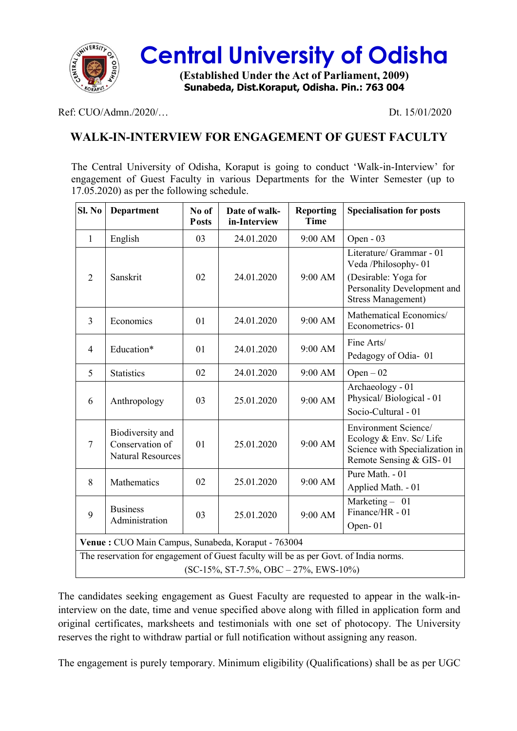

## **Central University of Odisha**

**(Established Under the Act of Parliament, 2009) Sunabeda, Dist.Koraput, Odisha. Pin.: 763 004**

Ref: CUO/Admn./2020/… Dt. 15/01/2020

### **WALK-IN-INTERVIEW FOR ENGAGEMENT OF GUEST FACULTY**

The Central University of Odisha, Koraput is going to conduct 'Walk-in-Interview' for engagement of Guest Faculty in various Departments for the Winter Semester (up to 17.05.2020) as per the following schedule.

| Sl. No                                                                                                                                                          | <b>Department</b>                                               | No of<br><b>Posts</b> | Date of walk-<br>in-Interview | <b>Reporting</b><br><b>Time</b> | <b>Specialisation for posts</b>                                                                              |  |  |  |
|-----------------------------------------------------------------------------------------------------------------------------------------------------------------|-----------------------------------------------------------------|-----------------------|-------------------------------|---------------------------------|--------------------------------------------------------------------------------------------------------------|--|--|--|
| $\mathbf{1}$                                                                                                                                                    | English                                                         | 03                    | 24.01.2020                    | 9:00 AM                         | Open - 03                                                                                                    |  |  |  |
|                                                                                                                                                                 |                                                                 |                       |                               |                                 | Literature/ Grammar - 01<br>Veda /Philosophy-01                                                              |  |  |  |
| $\overline{2}$                                                                                                                                                  | Sanskrit                                                        | 02                    | 24.01.2020                    | 9:00 AM                         | (Desirable: Yoga for<br>Personality Development and<br><b>Stress Management)</b>                             |  |  |  |
| 3                                                                                                                                                               | Economics                                                       | 01                    | 24.01.2020                    | 9:00 AM                         | Mathematical Economics/<br>Econometrics-01                                                                   |  |  |  |
| $\overline{4}$                                                                                                                                                  | Education*                                                      | 01                    | 24.01.2020                    | 9:00 AM                         | Fine Arts/<br>Pedagogy of Odia-01                                                                            |  |  |  |
| 5                                                                                                                                                               | <b>Statistics</b>                                               | 02                    | 24.01.2020                    | 9:00 AM                         | $Open-02$                                                                                                    |  |  |  |
| 6                                                                                                                                                               | Anthropology                                                    | 03                    | 25.01.2020                    | $9:00$ AM                       | Archaeology - 01<br>Physical/Biological - 01<br>Socio-Cultural - 01                                          |  |  |  |
| $\overline{7}$                                                                                                                                                  | Biodiversity and<br>Conservation of<br><b>Natural Resources</b> | 01                    | 25.01.2020                    | 9:00 AM                         | Environment Science/<br>Ecology & Env. Sc/ Life<br>Science with Specialization in<br>Remote Sensing & GIS-01 |  |  |  |
| 8                                                                                                                                                               | Mathematics                                                     | 02                    | 25.01.2020                    | 9:00 AM                         | Pure Math. - 01<br>Applied Math. - 01                                                                        |  |  |  |
| 9                                                                                                                                                               | <b>Business</b>                                                 | 03                    | 25.01.2020                    | 9:00 AM                         | Marketing - 01<br>Finance/HR - 01                                                                            |  |  |  |
|                                                                                                                                                                 |                                                                 |                       |                               |                                 |                                                                                                              |  |  |  |
| Venue: CUO Main Campus, Sunabeda, Koraput - 763004                                                                                                              |                                                                 |                       |                               |                                 |                                                                                                              |  |  |  |
|                                                                                                                                                                 |                                                                 |                       |                               |                                 |                                                                                                              |  |  |  |
| Administration<br>Open-01<br>The reservation for engagement of Guest faculty will be as per Govt. of India norms.<br>$SC-15\%, ST-7.5\%, OBC - 27\%, EWS-10\%)$ |                                                                 |                       |                               |                                 |                                                                                                              |  |  |  |

The candidates seeking engagement as Guest Faculty are requested to appear in the walk-ininterview on the date, time and venue specified above along with filled in application form and original certificates, marksheets and testimonials with one set of photocopy. The University reserves the right to withdraw partial or full notification without assigning any reason.

The engagement is purely temporary. Minimum eligibility (Qualifications) shall be as per UGC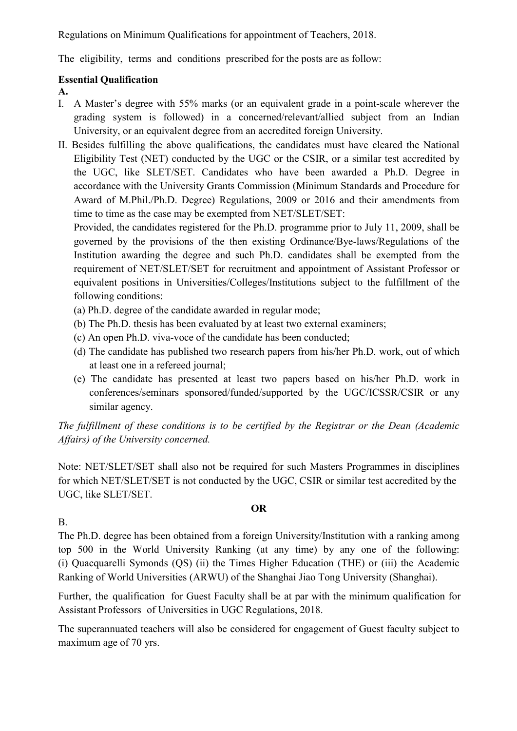Regulations on Minimum Qualifications for appointment of Teachers, 2018.

The eligibility, terms and conditions prescribed for the posts are as follow:

#### **Essential Qualification**

#### **A.**

- I. A Master's degree with 55% marks (or an equivalent grade in a point-scale wherever the grading system is followed) in a concerned/relevant/allied subject from an Indian University, or an equivalent degree from an accredited foreign University.
- II. Besides fulfilling the above qualifications, the candidates must have cleared the National Eligibility Test (NET) conducted by the UGC or the CSIR, or a similar test accredited by the UGC, like SLET/SET. Candidates who have been awarded a Ph.D. Degree in accordance with the University Grants Commission (Minimum Standards and Procedure for Award of M.Phil./Ph.D. Degree) Regulations, 2009 or 2016 and their amendments from time to time as the case may be exempted from NET/SLET/SET:

Provided, the candidates registered for the Ph.D. programme prior to July 11, 2009, shall be governed by the provisions of the then existing Ordinance/Bye-laws/Regulations of the Institution awarding the degree and such Ph.D. candidates shall be exempted from the requirement of NET/SLET/SET for recruitment and appointment of Assistant Professor or equivalent positions in Universities/Colleges/Institutions subject to the fulfillment of the following conditions:

- (a) Ph.D. degree of the candidate awarded in regular mode;
- (b) The Ph.D. thesis has been evaluated by at least two external examiners;
- (c) An open Ph.D. viva-voce of the candidate has been conducted;
- (d) The candidate has published two research papers from his/her Ph.D. work, out of which at least one in a refereed journal;
- (e) The candidate has presented at least two papers based on his/her Ph.D. work in conferences/seminars sponsored/funded/supported by the UGC/ICSSR/CSIR or any similar agency.

*The fulfillment of these conditions is to be certified by the Registrar or the Dean (Academic Affairs) of the University concerned.*

Note: NET/SLET/SET shall also not be required for such Masters Programmes in disciplines for which NET/SLET/SET is not conducted by the UGC, CSIR or similar test accredited by the UGC, like SLET/SET.

#### **OR**

#### B.

The Ph.D. degree has been obtained from a foreign University/Institution with a ranking among top 500 in the World University Ranking (at any time) by any one of the following: (i) Quacquarelli Symonds (QS) (ii) the Times Higher Education (THE) or (iii) the Academic Ranking of World Universities (ARWU) of the Shanghai Jiao Tong University (Shanghai).

Further, the qualification for Guest Faculty shall be at par with the minimum qualification for Assistant Professors of Universities in UGC Regulations, 2018.

The superannuated teachers will also be considered for engagement of Guest faculty subject to maximum age of 70 yrs.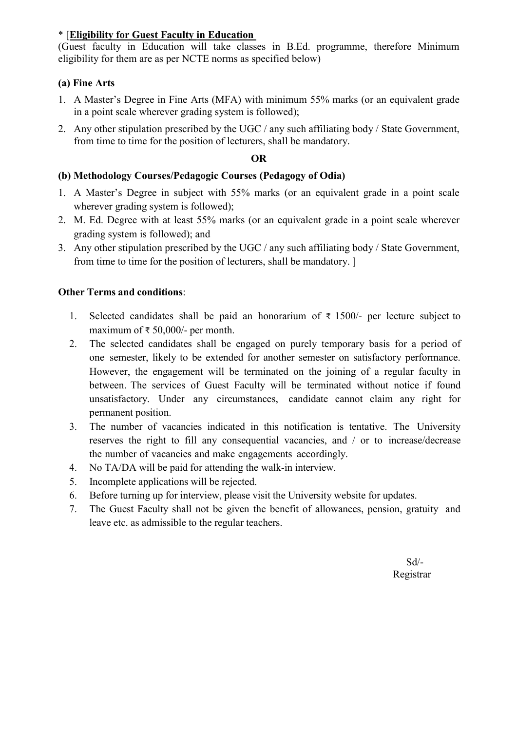#### \* [**Eligibility for Guest Faculty in Education**

(Guest faculty in Education will take classes in B.Ed. programme, therefore Minimum eligibility for them are as per NCTE norms as specified below)

#### **(a) Fine Arts**

- 1. A Master's Degree in Fine Arts (MFA) with minimum 55% marks (or an equivalent grade in a point scale wherever grading system is followed);
- 2. Any other stipulation prescribed by the UGC / any such affiliating body / State Government, from time to time for the position of lecturers, shall be mandatory.

#### **OR**

#### **(b) Methodology Courses/Pedagogic Courses (Pedagogy of Odia)**

- 1. A Master's Degree in subject with 55% marks (or an equivalent grade in a point scale wherever grading system is followed);
- 2. M. Ed. Degree with at least 55% marks (or an equivalent grade in a point scale wherever grading system is followed); and
- 3. Any other stipulation prescribed by the UGC / any such affiliating body / State Government, from time to time for the position of lecturers, shall be mandatory. ]

#### **Other Terms and conditions**:

- 1. Selected candidates shall be paid an honorarium of ₹ 1500/- per lecture subject to maximum of ₹ 50,000/- per month.
- 2. The selected candidates shall be engaged on purely temporary basis for a period of one semester, likely to be extended for another semester on satisfactory performance. However, the engagement will be terminated on the joining of a regular faculty in between. The services of Guest Faculty will be terminated without notice if found unsatisfactory. Under any circumstances, candidate cannot claim any right for permanent position.
- 3. The number of vacancies indicated in this notification is tentative. The University reserves the right to fill any consequential vacancies, and / or to increase/decrease the number of vacancies and make engagements accordingly.
- 4. No TA/DA will be paid for attending the walk-in interview.
- 5. Incomplete applications will be rejected.
- 6. Before turning up for interview, please visit the University website for updates.
- 7. The Guest Faculty shall not be given the benefit of allowances, pension, gratuity and leave etc. as admissible to the regular teachers.

Sd/- Registrar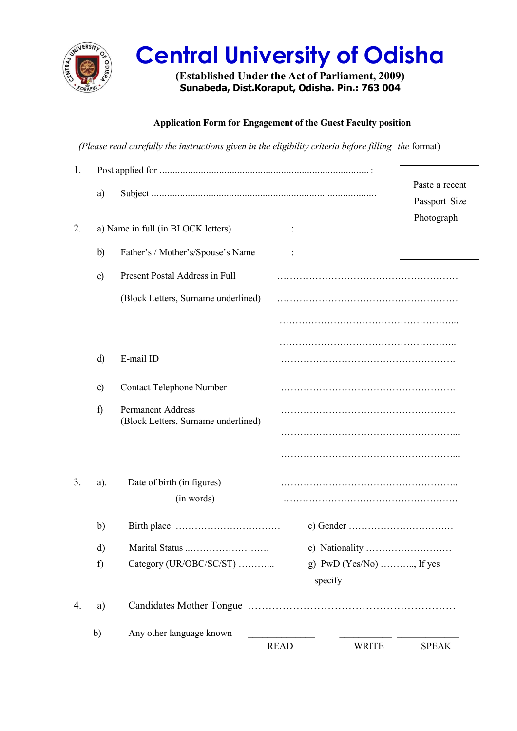

# **Central University of Odisha**

**(Established Under the Act of Parliament, 2009) Sunabeda, Dist.Koraput, Odisha. Pin.: 763 004**

#### **Application Form for Engagement of the Guest Faculty position**

*(Please read carefully the instructions given in the eligibility criteria before filling the* format)

| 1. |             |                                                                 |                |                            |                |
|----|-------------|-----------------------------------------------------------------|----------------|----------------------------|----------------|
|    | a)          |                                                                 |                |                            | Paste a recent |
|    |             |                                                                 |                |                            | Passport Size  |
| 2. |             | a) Name in full (in BLOCK letters)                              | $\ddot{\cdot}$ |                            | Photograph     |
|    | b)          | Father's / Mother's/Spouse's Name                               |                |                            |                |
|    | c)          | Present Postal Address in Full                                  |                |                            |                |
|    |             | (Block Letters, Surname underlined)                             |                |                            |                |
|    |             |                                                                 |                |                            |                |
|    |             |                                                                 |                |                            |                |
|    | d)          | E-mail ID                                                       |                |                            |                |
|    | e)          | <b>Contact Telephone Number</b>                                 |                |                            |                |
|    | $\mathbf f$ | <b>Permanent Address</b><br>(Block Letters, Surname underlined) |                |                            |                |
|    |             |                                                                 |                |                            |                |
|    |             |                                                                 |                |                            |                |
| 3. | a).         | Date of birth (in figures)                                      |                |                            |                |
|    |             | (in words)                                                      |                |                            |                |
|    | b)          |                                                                 |                |                            |                |
|    | d)          | Marital Status                                                  |                |                            |                |
|    | f)          | Category (UR/OBC/SC/ST)                                         | specify        | g) $PWD$ (Yes/No) , If yes |                |
| 4. | a)          |                                                                 |                |                            |                |
|    | b)          | Any other language known                                        |                |                            |                |
|    |             |                                                                 | <b>READ</b>    | <b>WRITE</b>               | <b>SPEAK</b>   |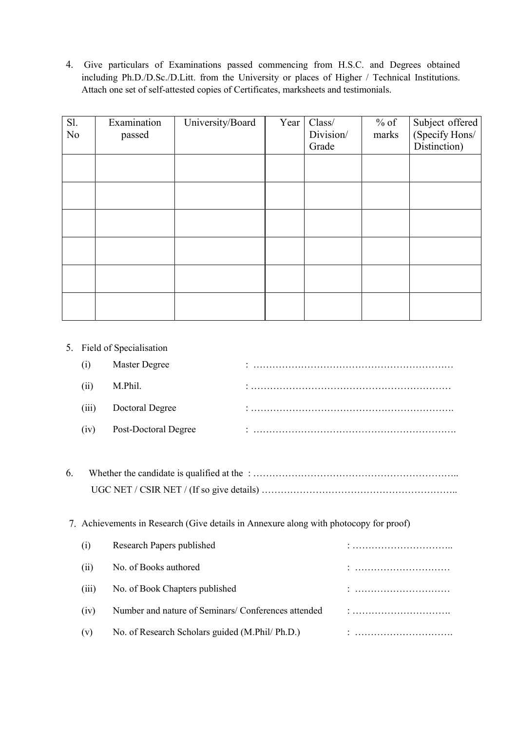4. Give particulars of Examinations passed commencing from H.S.C. and Degrees obtained including Ph.D./D.Sc./D.Litt. from the University or places of Higher / Technical Institutions. Attach one set of self-attested copies of Certificates, marksheets and testimonials.

| S1.            | Examination | University/Board | Year | Class/    | $%$ of |                                   |
|----------------|-------------|------------------|------|-----------|--------|-----------------------------------|
| N <sub>o</sub> | passed      |                  |      | Division/ | marks  | Subject offered<br>(Specify Hons/ |
|                |             |                  |      | Grade     |        | Distinction)                      |
|                |             |                  |      |           |        |                                   |
|                |             |                  |      |           |        |                                   |
|                |             |                  |      |           |        |                                   |
|                |             |                  |      |           |        |                                   |
|                |             |                  |      |           |        |                                   |
|                |             |                  |      |           |        |                                   |
|                |             |                  |      |           |        |                                   |
|                |             |                  |      |           |        |                                   |
|                |             |                  |      |           |        |                                   |
|                |             |                  |      |           |        |                                   |
|                |             |                  |      |           |        |                                   |
|                |             |                  |      |           |        |                                   |

#### 5. Field of Specialisation

|       | Master Degree               |  |
|-------|-----------------------------|--|
| (ii)  | M.Phil.                     |  |
| (iii) | Doctoral Degree             |  |
| (iv)  | <b>Post-Doctoral Degree</b> |  |

6. Whether the candidate is qualified at the : ……………………………………………………….. UGC NET / CSIR NET / (If so give details) ……………………………………………………..

#### 7. Achievements in Research (Give details in Annexure along with photocopy for proof)

| (1)   | Research Papers published                          | . |
|-------|----------------------------------------------------|---|
| (i)   | No. of Books authored                              |   |
| (iii) | No. of Book Chapters published                     |   |
| (iv)  | Number and nature of Seminars/Conferences attended |   |
| (v)   | No. of Research Scholars guided (M.Phil/ Ph.D.)    |   |